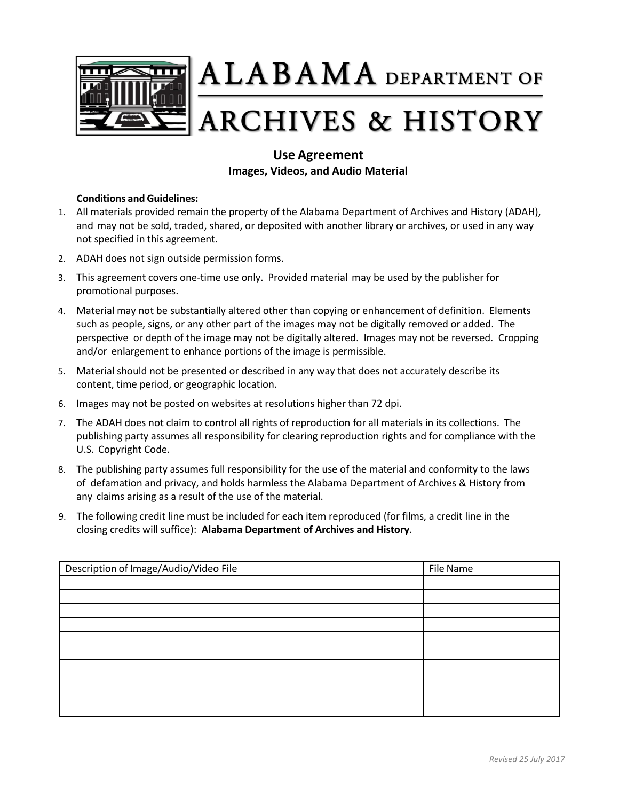

 $\mathbf{ALABAMA}$  department of

## **ARCHIVES & HISTORY**

## **Use Agreement Images, Videos, and Audio Material**

## **Conditions andGuidelines:**

- 1. All materials provided remain the property of the Alabama Department of Archives and History (ADAH), and may not be sold, traded, shared, or deposited with another library or archives, or used in any way not specified in this agreement.
- 2. ADAH does not sign outside permission forms.
- 3. This agreement covers one-time use only. Provided material may be used by the publisher for promotional purposes.
- 4. Material may not be substantially altered other than copying or enhancement of definition. Elements such as people, signs, or any other part of the images may not be digitally removed or added. The perspective or depth of the image may not be digitally altered. Images may not be reversed. Cropping and/or enlargement to enhance portions of the image is permissible.
- 5. Material should not be presented or described in any way that does not accurately describe its content, time period, or geographic location.
- 6. Images may not be posted on websites at resolutions higher than 72 dpi.
- 7. The ADAH does not claim to control all rights of reproduction for all materials in its collections. The publishing party assumes all responsibility for clearing reproduction rights and for compliance with the U.S. Copyright Code.
- 8. The publishing party assumes full responsibility for the use of the material and conformity to the laws of defamation and privacy, and holds harmless the Alabama Department of Archives & History from any claims arising as a result of the use of the material.
- 9. The following credit line must be included for each item reproduced (for films, a credit line in the closing credits will suffice): **Alabama Department of Archives and History**.

| Description of Image/Audio/Video File | File Name |
|---------------------------------------|-----------|
|                                       |           |
|                                       |           |
|                                       |           |
|                                       |           |
|                                       |           |
|                                       |           |
|                                       |           |
|                                       |           |
|                                       |           |
|                                       |           |